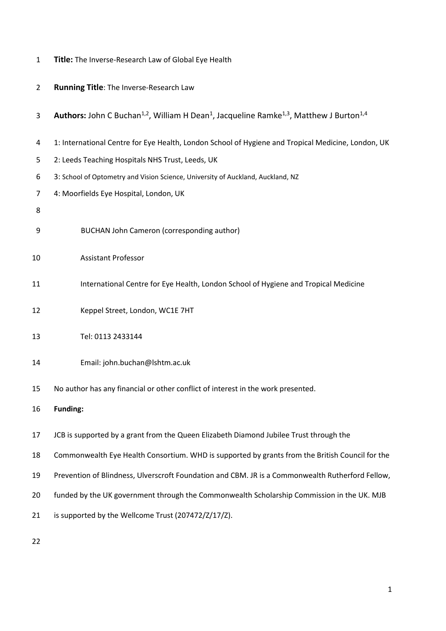|  |  | Title: The Inverse-Research Law of Global Eye Health |  |  |  |
|--|--|------------------------------------------------------|--|--|--|
|--|--|------------------------------------------------------|--|--|--|

| $\overline{2}$ | Running Title: The Inverse-Research Law                                                                                                        |  |  |  |
|----------------|------------------------------------------------------------------------------------------------------------------------------------------------|--|--|--|
| 3              | <b>Authors:</b> John C Buchan <sup>1,2</sup> , William H Dean <sup>1</sup> , Jacqueline Ramke <sup>1,3</sup> , Matthew J Burton <sup>1,4</sup> |  |  |  |
| 4              | 1: International Centre for Eye Health, London School of Hygiene and Tropical Medicine, London, UK                                             |  |  |  |
| 5              | 2: Leeds Teaching Hospitals NHS Trust, Leeds, UK                                                                                               |  |  |  |
| 6              | 3: School of Optometry and Vision Science, University of Auckland, Auckland, NZ                                                                |  |  |  |
| 7              | 4: Moorfields Eye Hospital, London, UK                                                                                                         |  |  |  |
| 8              |                                                                                                                                                |  |  |  |
| 9              | <b>BUCHAN John Cameron (corresponding author)</b>                                                                                              |  |  |  |
| 10             | <b>Assistant Professor</b>                                                                                                                     |  |  |  |
| 11             | International Centre for Eye Health, London School of Hygiene and Tropical Medicine                                                            |  |  |  |
| 12             | Keppel Street, London, WC1E 7HT                                                                                                                |  |  |  |
| 13             | Tel: 0113 2433144                                                                                                                              |  |  |  |
| 14             | Email: john.buchan@lshtm.ac.uk                                                                                                                 |  |  |  |
| 15             | No author has any financial or other conflict of interest in the work presented.                                                               |  |  |  |
| 16             | <b>Funding:</b>                                                                                                                                |  |  |  |
| 17             | JCB is supported by a grant from the Queen Elizabeth Diamond Jubilee Trust through the                                                         |  |  |  |
| 18             | Commonwealth Eye Health Consortium. WHD is supported by grants from the British Council for the                                                |  |  |  |
| 19             | Prevention of Blindness, Ulverscroft Foundation and CBM. JR is a Commonwealth Rutherford Fellow,                                               |  |  |  |
| 20             | funded by the UK government through the Commonwealth Scholarship Commission in the UK. MJB                                                     |  |  |  |
| 21             | is supported by the Wellcome Trust (207472/Z/17/Z).                                                                                            |  |  |  |
|                |                                                                                                                                                |  |  |  |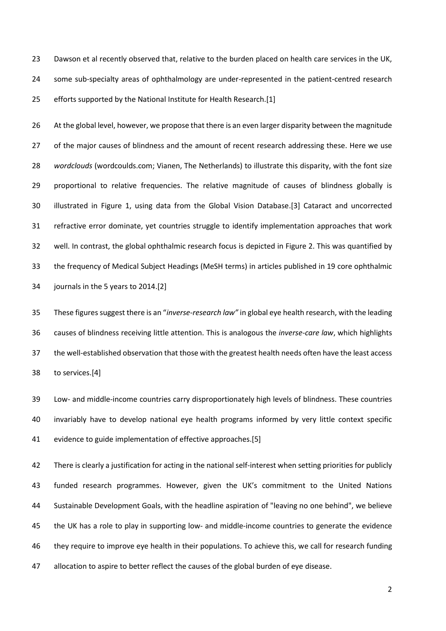Dawson et al recently observed that, relative to the burden placed on health care services in the UK, some sub-specialty areas of ophthalmology are under-represented in the patient-centred research efforts supported by the National Institute for Health Research.[1]

 At the global level, however, we propose that there is an even larger disparity between the magnitude 27 of the major causes of blindness and the amount of recent research addressing these. Here we use *wordclouds* (wordcoulds.com; Vianen, The Netherlands) to illustrate this disparity, with the font size proportional to relative frequencies. The relative magnitude of causes of blindness globally is illustrated in Figure 1, using data from the Global Vision Database.[3] Cataract and uncorrected refractive error dominate, yet countries struggle to identify implementation approaches that work well. In contrast, the global ophthalmic research focus is depicted in Figure 2. This was quantified by the frequency of Medical Subject Headings (MeSH terms) in articles published in 19 core ophthalmic journals in the 5 years to 2014.[2]

 These figures suggest there is an "*inverse-research law"* in global eye health research, with the leading causes of blindness receiving little attention. This is analogous the *inverse-care law*, which highlights the well-established observation that those with the greatest health needs often have the least access to services.[4]

 Low- and middle-income countries carry disproportionately high levels of blindness. These countries invariably have to develop national eye health programs informed by very little context specific evidence to guide implementation of effective approaches.[5]

 There is clearly a justification for acting in the national self-interest when setting priorities for publicly funded research programmes. However, given the UK's commitment to the United Nations Sustainable Development Goals, with the headline aspiration of "leaving no one behind", we believe the UK has a role to play in supporting low- and middle-income countries to generate the evidence they require to improve eye health in their populations. To achieve this, we call for research funding allocation to aspire to better reflect the causes of the global burden of eye disease.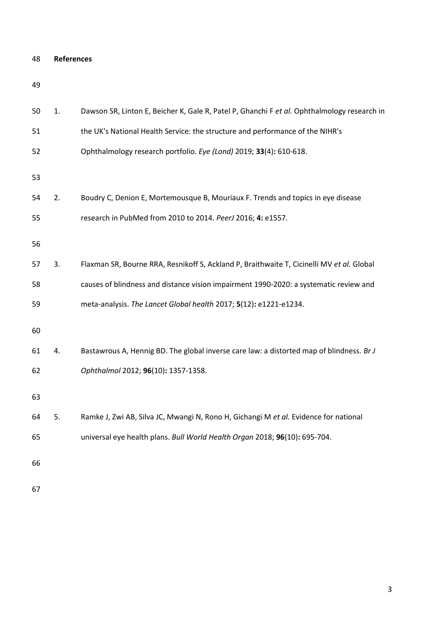| <b>References</b> |
|-------------------|
|                   |

| 50 | 1. | Dawson SR, Linton E, Beicher K, Gale R, Patel P, Ghanchi F et al. Ophthalmology research in |
|----|----|---------------------------------------------------------------------------------------------|
| 51 |    | the UK's National Health Service: the structure and performance of the NIHR's               |
| 52 |    | Ophthalmology research portfolio. Eye (Lond) 2019; 33(4): 610-618.                          |
| 53 |    |                                                                                             |
| 54 | 2. | Boudry C, Denion E, Mortemousque B, Mouriaux F. Trends and topics in eye disease            |
| 55 |    | research in PubMed from 2010 to 2014. PeerJ 2016; 4: e1557.                                 |
| 56 |    |                                                                                             |
| 57 | 3. | Flaxman SR, Bourne RRA, Resnikoff S, Ackland P, Braithwaite T, Cicinelli MV et al. Global   |
| 58 |    | causes of blindness and distance vision impairment 1990-2020: a systematic review and       |
| 59 |    | meta-analysis. The Lancet Global health 2017; 5(12): e1221-e1234.                           |
| 60 |    |                                                                                             |
| 61 | 4. | Bastawrous A, Hennig BD. The global inverse care law: a distorted map of blindness. Br J    |
| 62 |    | Ophthalmol 2012; 96(10): 1357-1358.                                                         |
| 63 |    |                                                                                             |
| 64 | 5. | Ramke J, Zwi AB, Silva JC, Mwangi N, Rono H, Gichangi M et al. Evidence for national        |
| 65 |    | universal eye health plans. Bull World Health Organ 2018; 96(10): 695-704.                  |
| 66 |    |                                                                                             |
|    |    |                                                                                             |